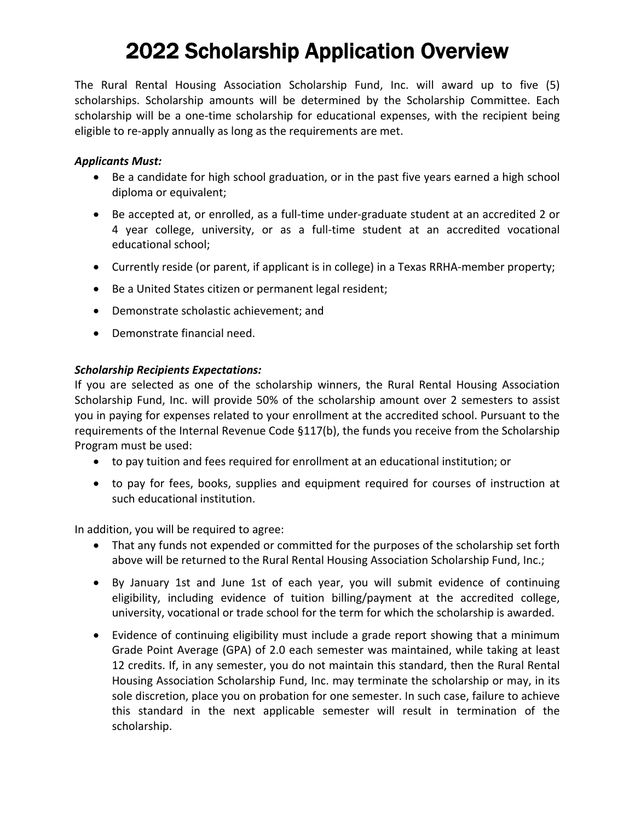# 2022 Scholarship Application Overview

The Rural Rental Housing Association Scholarship Fund, Inc. will award up to five (5) scholarships. Scholarship amounts will be determined by the Scholarship Committee. Each scholarship will be a one-time scholarship for educational expenses, with the recipient being eligible to re‐apply annually as long as the requirements are met.

#### *Applicants Must:*

- Be a candidate for high school graduation, or in the past five years earned a high school diploma or equivalent;
- Be accepted at, or enrolled, as a full-time under-graduate student at an accredited 2 or 4 year college, university, or as a full-time student at an accredited vocational educational school;
- Currently reside (or parent, if applicant is in college) in a Texas RRHA‐member property;
- Be a United States citizen or permanent legal resident;
- Demonstrate scholastic achievement; and
- Demonstrate financial need.

#### *Scholarship Recipients Expectations:*

If you are selected as one of the scholarship winners, the Rural Rental Housing Association Scholarship Fund, Inc. will provide 50% of the scholarship amount over 2 semesters to assist you in paying for expenses related to your enrollment at the accredited school. Pursuant to the requirements of the Internal Revenue Code §117(b), the funds you receive from the Scholarship Program must be used:

- to pay tuition and fees required for enrollment at an educational institution; or
- to pay for fees, books, supplies and equipment required for courses of instruction at such educational institution.

In addition, you will be required to agree:

- That any funds not expended or committed for the purposes of the scholarship set forth above will be returned to the Rural Rental Housing Association Scholarship Fund, Inc.;
- By January 1st and June 1st of each year, you will submit evidence of continuing eligibility, including evidence of tuition billing/payment at the accredited college, university, vocational or trade school for the term for which the scholarship is awarded.
- Evidence of continuing eligibility must include a grade report showing that a minimum Grade Point Average (GPA) of 2.0 each semester was maintained, while taking at least 12 credits. If, in any semester, you do not maintain this standard, then the Rural Rental Housing Association Scholarship Fund, Inc. may terminate the scholarship or may, in its sole discretion, place you on probation for one semester. In such case, failure to achieve this standard in the next applicable semester will result in termination of the scholarship.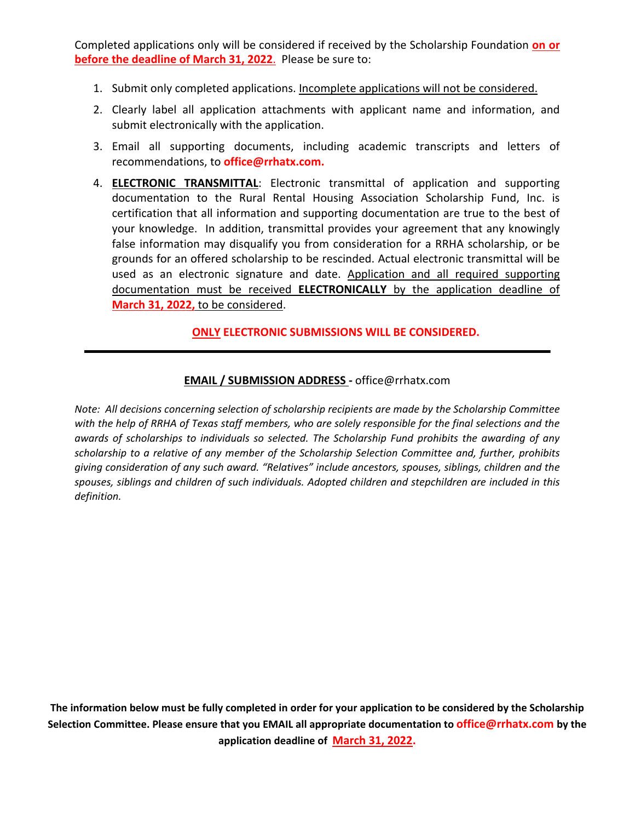Completed applications only will be considered if received by the Scholarship Foundation **on or before the deadline of March 31, 2022**. Please be sure to:

- 1. Submit only completed applications. Incomplete applications will not be considered.
- 2. Clearly label all application attachments with applicant name and information, and submit electronically with the application.
- 3. Email all supporting documents, including academic transcripts and letters of recommendations, to **office@rrhatx.com.**
- 4. **ELECTRONIC TRANSMITTAL**: Electronic transmittal of application and supporting documentation to the Rural Rental Housing Association Scholarship Fund, Inc. is certification that all information and supporting documentation are true to the best of your knowledge. In addition, transmittal provides your agreement that any knowingly false information may disqualify you from consideration for a RRHA scholarship, or be grounds for an offered scholarship to be rescinded. Actual electronic transmittal will be used as an electronic signature and date. Application and all required supporting documentation must be received **ELECTRONICALLY** by the application deadline of **March 31, 2022,** to be considered.

#### **ONLY ELECTRONIC SUBMISSIONS WILL BE CONSIDERED.**

#### **EMAIL / SUBMISSION ADDRESS ‐** office@rrhatx.com

*Note: All decisions concerning selection of scholarship recipients are made by the Scholarship Committee with the help of RRHA of Texas staff members, who are solely responsible for the final selections and the awards of scholarships to individuals so selected. The Scholarship Fund prohibits the awarding of any scholarship to a relative of any member of the Scholarship Selection Committee and, further, prohibits giving consideration of any such award. "Relatives" include ancestors, spouses, siblings, children and the spouses, siblings and children of such individuals. Adopted children and stepchildren are included in this definition.*

**The information below must be fully completed in order for your application to be considered by the Scholarship Selection Committee. Please ensure that you EMAIL all appropriate documentation to office@rrhatx.com by the application deadline of March 31, 2022.**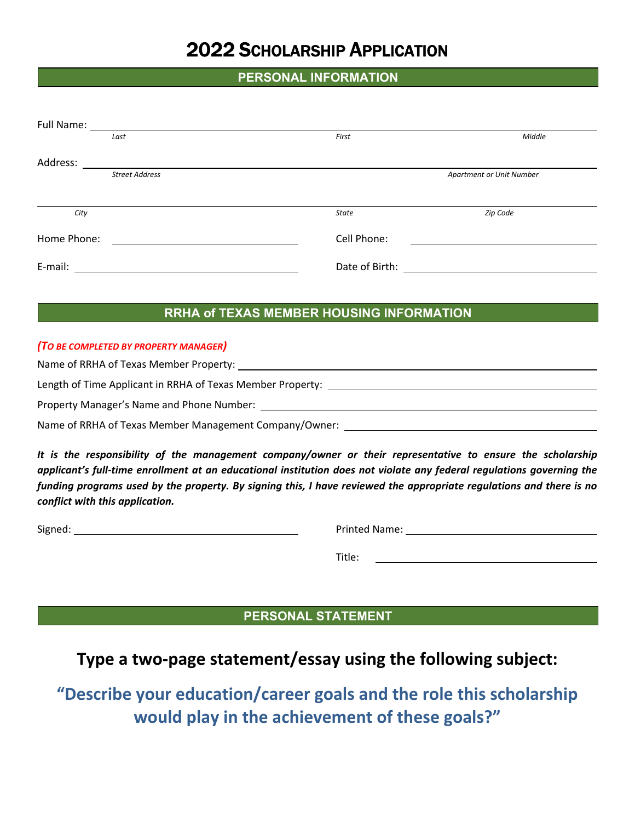## 2022 SCHOLARSHIP APPLICATION

#### **PERSONAL INFORMATION**

| Full Name:  |                                                 |                |                          |  |
|-------------|-------------------------------------------------|----------------|--------------------------|--|
|             | Last                                            | First          | Middle                   |  |
| Address:    | <u> 1980 - Johann Barnett, fransk kongresu.</u> |                |                          |  |
|             | <b>Street Address</b>                           |                | Apartment or Unit Number |  |
|             |                                                 |                |                          |  |
| City        |                                                 | <b>State</b>   | Zip Code                 |  |
| Home Phone: |                                                 | Cell Phone:    |                          |  |
| E-mail:     |                                                 | Date of Birth: |                          |  |

#### **RRHA of TEXAS MEMBER HOUSING INFORMATION**

#### *(TO BE COMPLETED BY PROPERTY MANAGER)*

Name of RRHA of Texas Member Property:

Length of Time Applicant in RRHA of Texas Member Property:

Property Manager's Name and Phone Number:

Name of RRHA of Texas Member Management Company/Owner:

*It is the responsibility of the management company/owner or their representative to ensure the scholarship applicant's full‐time enrollment at an educational institution does not violate any federal regulations governing the funding programs used by the property. By signing this, I have reviewed the appropriate regulations and there is no conflict with this application.* 

Signed: Printed Name:

Title:

#### **PERSONAL STATEMENT**

### **Type a two‐page statement/essay using the following subject:**

**"Describe your education/career goals and the role this scholarship would play in the achievement of these goals?"**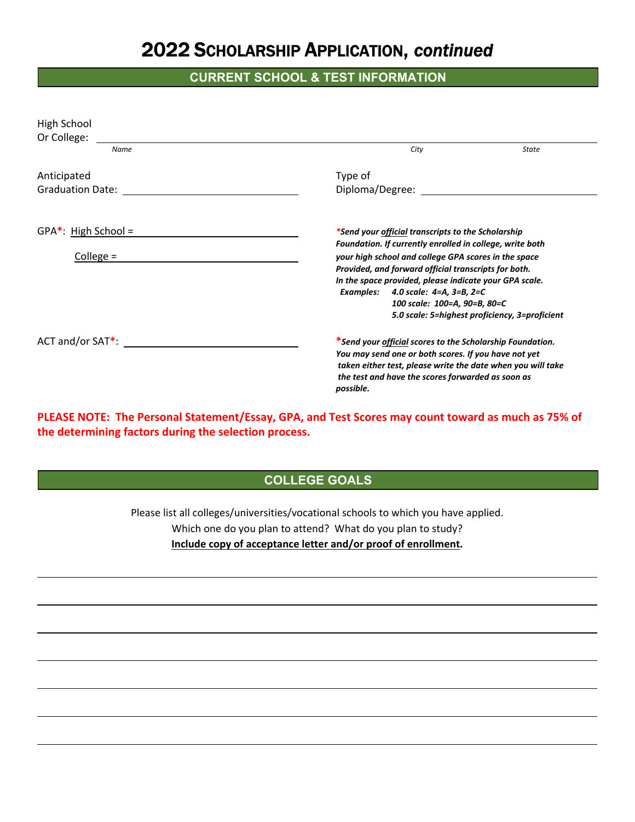### 2022 SCHOLARSHIP APPLICATION, *continued*

### **CURRENT SCHOOL & TEST INFORMATION**

| High School             |                                                                                                                  |  |  |
|-------------------------|------------------------------------------------------------------------------------------------------------------|--|--|
| Or College:             |                                                                                                                  |  |  |
| Name                    | City<br><b>State</b>                                                                                             |  |  |
| Anticipated             | Type of                                                                                                          |  |  |
| Graduation Date:        |                                                                                                                  |  |  |
| $GPA^*$ : High School = | *Send your <u>official</u> transcripts to the Scholarship                                                        |  |  |
| College $=$             | Foundation. If currently enrolled in college, write both<br>your high school and college GPA scores in the space |  |  |
|                         | Provided, and forward official transcripts for both.                                                             |  |  |
|                         | In the space provided, please indicate your GPA scale.                                                           |  |  |
|                         | Examples: 4.0 scale: 4=A, 3=B, 2=C                                                                               |  |  |
|                         | 100 scale: 100=A, 90=B, 80=C                                                                                     |  |  |
|                         | 5.0 scale: 5=highest proficiency, 3=proficient                                                                   |  |  |
| $ACT$ and/or $SAT^*$ :  | *Send your <u>official</u> scores to the Scholarship Foundation.                                                 |  |  |
|                         | You may send one or both scores. If you have not yet                                                             |  |  |
|                         | taken either test, please write the date when you will take                                                      |  |  |
|                         | the test and have the scores forwarded as soon as                                                                |  |  |
|                         | possible.                                                                                                        |  |  |

**PLEASE NOTE: The Personal Statement/Essay, GPA, and Test Scores may count toward as much as 75% of the determining factors during the selection process.** 

#### **COLLEGE GOALS**

Please list all colleges/universities/vocational schools to which you have applied. Which one do you plan to attend? What do you plan to study? **Include copy of acceptance letter and/or proof of enrollment.** 

<u> 2008 - Andrea Britain, amerikan basar dan berasal di sebagai berasal di sebagai berasal di sebagai berasal d</u>

<u> 1989 - Andrea Barbara, amerikana amerikana amerikana amerikana amerikana amerikana amerikana amerikana amerik</u>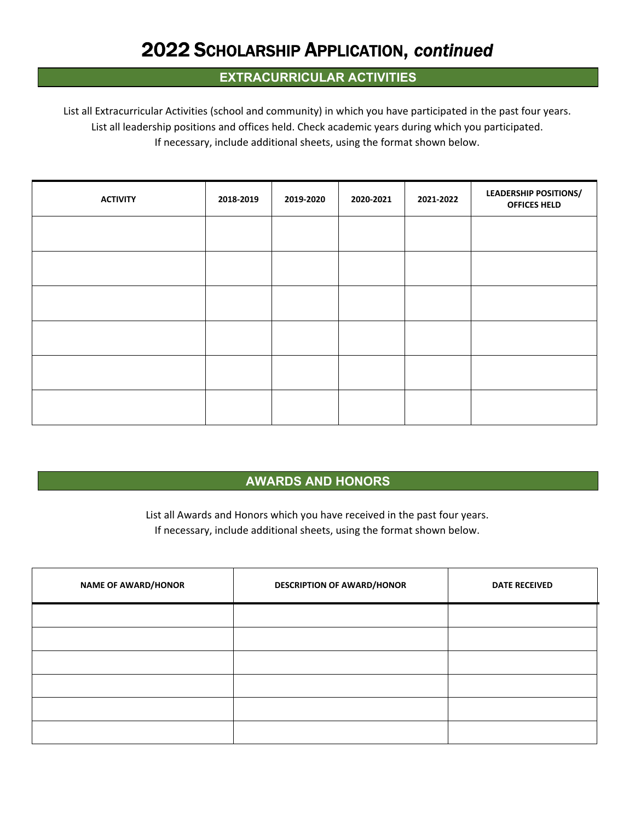## 2022 SCHOLARSHIP APPLICATION, *continued*

#### **EXTRACURRICULAR ACTIVITIES**

List all Extracurricular Activities (school and community) in which you have participated in the past four years. List all leadership positions and offices held. Check academic years during which you participated. If necessary, include additional sheets, using the format shown below.

| <b>ACTIVITY</b> | 2018-2019 | 2019-2020 | 2020-2021 | 2021-2022 | <b>LEADERSHIP POSITIONS/</b><br><b>OFFICES HELD</b> |
|-----------------|-----------|-----------|-----------|-----------|-----------------------------------------------------|
|                 |           |           |           |           |                                                     |
|                 |           |           |           |           |                                                     |
|                 |           |           |           |           |                                                     |
|                 |           |           |           |           |                                                     |
|                 |           |           |           |           |                                                     |
|                 |           |           |           |           |                                                     |

#### **AWARDS AND HONORS**

List all Awards and Honors which you have received in the past four years. If necessary, include additional sheets, using the format shown below.

| <b>NAME OF AWARD/HONOR</b> | <b>DESCRIPTION OF AWARD/HONOR</b> | <b>DATE RECEIVED</b> |
|----------------------------|-----------------------------------|----------------------|
|                            |                                   |                      |
|                            |                                   |                      |
|                            |                                   |                      |
|                            |                                   |                      |
|                            |                                   |                      |
|                            |                                   |                      |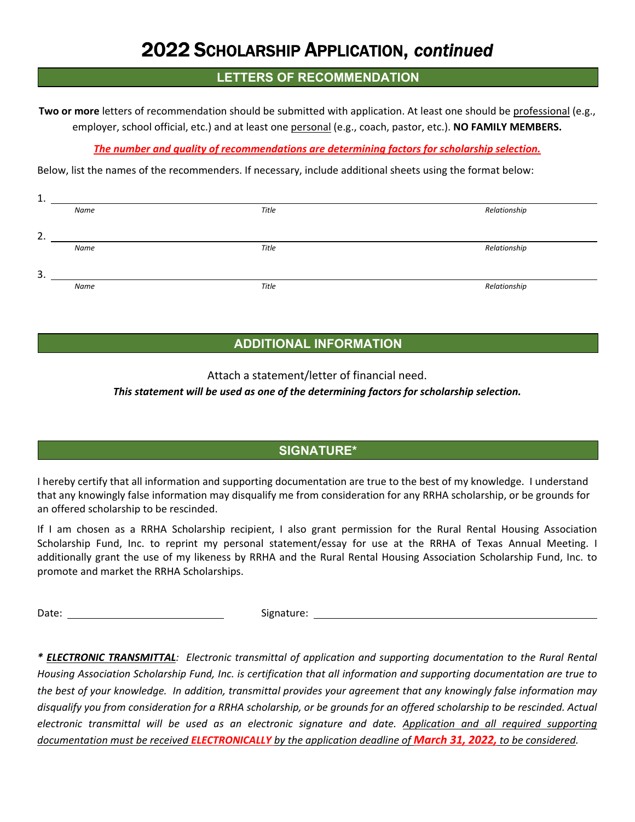### 2022 SCHOLARSHIP APPLICATION, *continued*

#### **LETTERS OF RECOMMENDATION**

**Two or more** letters of recommendation should be submitted with application. At least one should be professional (e.g., employer, school official, etc.) and at least one personal (e.g., coach, pastor, etc.). **NO FAMILY MEMBERS.**

#### *The number and quality of recommendations are determining factors for scholarship selection.*

Below, list the names of the recommenders. If necessary, include additional sheets using the format below:

| <b>.</b> |      |       |              |
|----------|------|-------|--------------|
|          | Name | Title | Relationship |
|          |      |       |              |
| 2.       |      |       |              |
|          | Name | Title | Relationship |
|          |      |       |              |
| 3.       |      |       |              |
|          | Name | Title | Relationship |
|          |      |       |              |

#### **ADDITIONAL INFORMATION**

Attach a statement/letter of financial need.

#### *This statement will be used as one of the determining factors for scholarship selection.*

#### **SIGNATURE\***

I hereby certify that all information and supporting documentation are true to the best of my knowledge. I understand that any knowingly false information may disqualify me from consideration for any RRHA scholarship, or be grounds for an offered scholarship to be rescinded.

If I am chosen as a RRHA Scholarship recipient, I also grant permission for the Rural Rental Housing Association Scholarship Fund, Inc. to reprint my personal statement/essay for use at the RRHA of Texas Annual Meeting. I additionally grant the use of my likeness by RRHA and the Rural Rental Housing Association Scholarship Fund, Inc. to promote and market the RRHA Scholarships.

Date: Signature:

*\* ELECTRONIC TRANSMITTAL: Electronic transmittal of application and supporting documentation to the Rural Rental Housing Association Scholarship Fund, Inc. is certification that all information and supporting documentation are true to the best of your knowledge. In addition, transmittal provides your agreement that any knowingly false information may disqualify you from consideration for a RRHA scholarship, or be grounds for an offered scholarship to be rescinded. Actual electronic transmittal will be used as an electronic signature and date. Application and all required supporting documentation must be received ELECTRONICALLY by the application deadline of March 31, 2022, to be considered.*